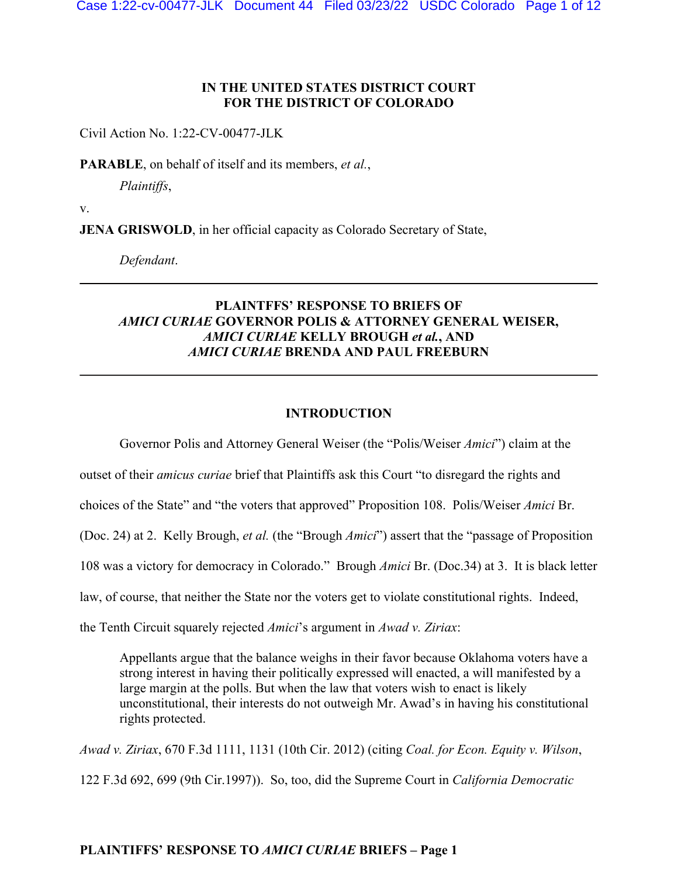### **IN THE UNITED STATES DISTRICT COURT FOR THE DISTRICT OF COLORADO**

Civil Action No. 1:22-CV-00477-JLK

**PARABLE**, on behalf of itself and its members, *et al.*,

*Plaintiffs*,

v.

**JENA GRISWOLD**, in her official capacity as Colorado Secretary of State,

*Defendant*.

## **PLAINTFFS' RESPONSE TO BRIEFS OF**  *AMICI CURIAE* **GOVERNOR POLIS & ATTORNEY GENERAL WEISER,**  *AMICI CURIAE* **KELLY BROUGH** *et al.***, AND**  *AMICI CURIAE* **BRENDA AND PAUL FREEBURN**

#### **INTRODUCTION**

Governor Polis and Attorney General Weiser (the "Polis/Weiser *Amici*") claim at the

outset of their *amicus curiae* brief that Plaintiffs ask this Court "to disregard the rights and

choices of the State" and "the voters that approved" Proposition 108. Polis/Weiser *Amici* Br.

(Doc. 24) at 2. Kelly Brough, *et al.* (the "Brough *Amici*") assert that the "passage of Proposition

108 was a victory for democracy in Colorado." Brough *Amici* Br. (Doc.34) at 3. It is black letter

law, of course, that neither the State nor the voters get to violate constitutional rights. Indeed,

the Tenth Circuit squarely rejected *Amici*'s argument in *Awad v. Ziriax*:

Appellants argue that the balance weighs in their favor because Oklahoma voters have a strong interest in having their politically expressed will enacted, a will manifested by a large margin at the polls. But when the law that voters wish to enact is likely unconstitutional, their interests do not outweigh Mr. Awad's in having his constitutional rights protected.

*Awad v. Ziriax*, 670 F.3d 1111, 1131 (10th Cir. 2012) (citing *Coal. for Econ. Equity v. Wilson*, 122 F.3d 692, 699 (9th Cir.1997)). So, too, did the Supreme Court in *California Democratic*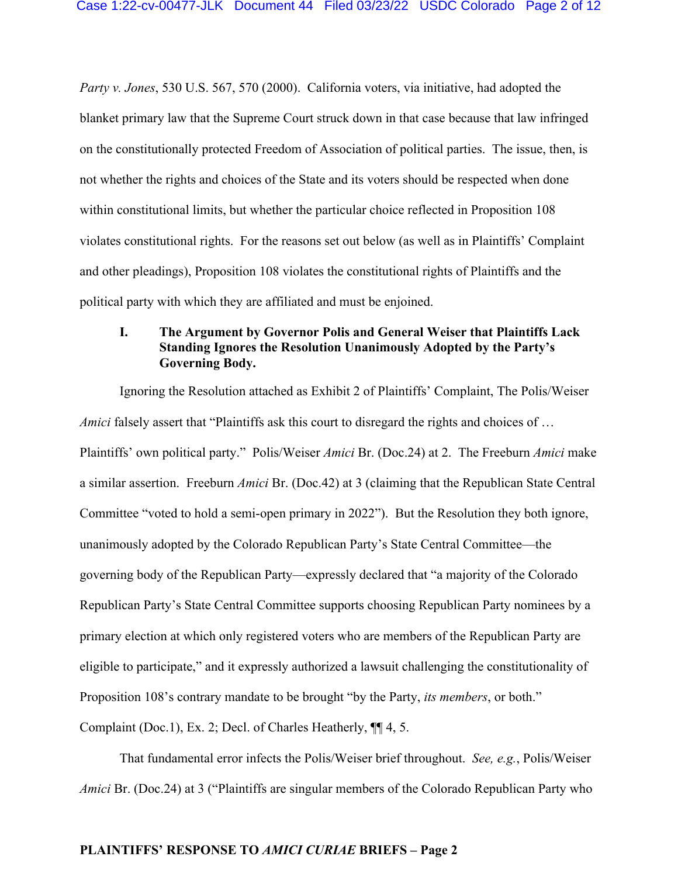*Party v. Jones*, 530 U.S. 567, 570 (2000). California voters, via initiative, had adopted the blanket primary law that the Supreme Court struck down in that case because that law infringed on the constitutionally protected Freedom of Association of political parties. The issue, then, is not whether the rights and choices of the State and its voters should be respected when done within constitutional limits, but whether the particular choice reflected in Proposition 108 violates constitutional rights. For the reasons set out below (as well as in Plaintiffs' Complaint and other pleadings), Proposition 108 violates the constitutional rights of Plaintiffs and the political party with which they are affiliated and must be enjoined.

## **I. The Argument by Governor Polis and General Weiser that Plaintiffs Lack Standing Ignores the Resolution Unanimously Adopted by the Party's Governing Body.**

Ignoring the Resolution attached as Exhibit 2 of Plaintiffs' Complaint, The Polis/Weiser *Amici* falsely assert that "Plaintiffs ask this court to disregard the rights and choices of … Plaintiffs' own political party." Polis/Weiser *Amici* Br. (Doc.24) at 2. The Freeburn *Amici* make a similar assertion. Freeburn *Amici* Br. (Doc.42) at 3 (claiming that the Republican State Central Committee "voted to hold a semi-open primary in 2022"). But the Resolution they both ignore, unanimously adopted by the Colorado Republican Party's State Central Committee—the governing body of the Republican Party—expressly declared that "a majority of the Colorado Republican Party's State Central Committee supports choosing Republican Party nominees by a primary election at which only registered voters who are members of the Republican Party are eligible to participate," and it expressly authorized a lawsuit challenging the constitutionality of Proposition 108's contrary mandate to be brought "by the Party, *its members*, or both." Complaint (Doc.1), Ex. 2; Decl. of Charles Heatherly, ¶¶ 4, 5.

That fundamental error infects the Polis/Weiser brief throughout. *See, e.g.*, Polis/Weiser *Amici* Br. (Doc.24) at 3 ("Plaintiffs are singular members of the Colorado Republican Party who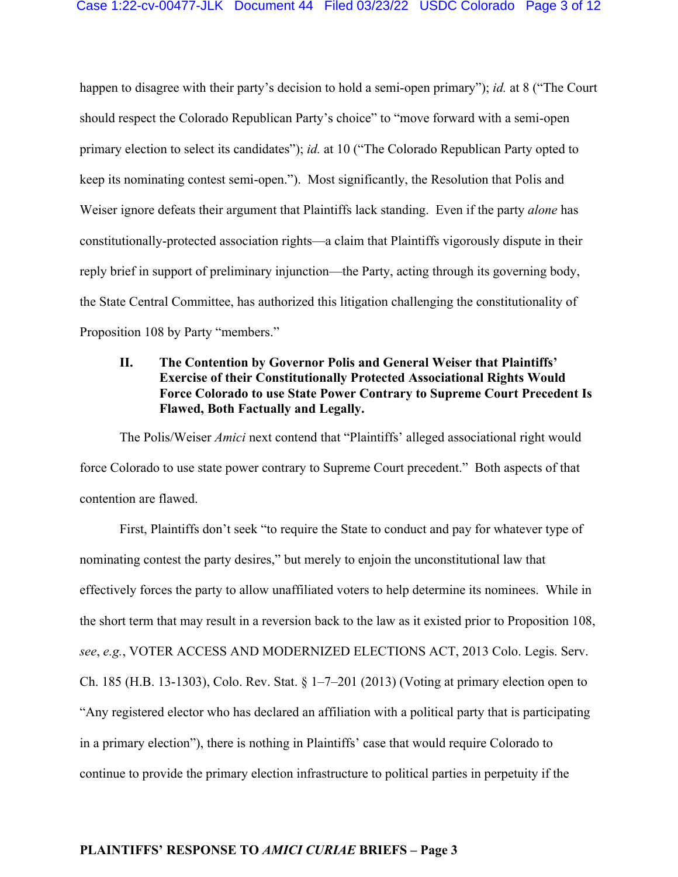happen to disagree with their party's decision to hold a semi-open primary"); *id.* at 8 ("The Court should respect the Colorado Republican Party's choice" to "move forward with a semi-open primary election to select its candidates"); *id.* at 10 ("The Colorado Republican Party opted to keep its nominating contest semi-open."). Most significantly, the Resolution that Polis and Weiser ignore defeats their argument that Plaintiffs lack standing. Even if the party *alone* has constitutionally-protected association rights—a claim that Plaintiffs vigorously dispute in their reply brief in support of preliminary injunction—the Party, acting through its governing body, the State Central Committee, has authorized this litigation challenging the constitutionality of Proposition 108 by Party "members."

# **II. The Contention by Governor Polis and General Weiser that Plaintiffs' Exercise of their Constitutionally Protected Associational Rights Would Force Colorado to use State Power Contrary to Supreme Court Precedent Is Flawed, Both Factually and Legally.**

The Polis/Weiser *Amici* next contend that "Plaintiffs' alleged associational right would force Colorado to use state power contrary to Supreme Court precedent." Both aspects of that contention are flawed.

First, Plaintiffs don't seek "to require the State to conduct and pay for whatever type of nominating contest the party desires," but merely to enjoin the unconstitutional law that effectively forces the party to allow unaffiliated voters to help determine its nominees. While in the short term that may result in a reversion back to the law as it existed prior to Proposition 108, *see*, *e.g.*, VOTER ACCESS AND MODERNIZED ELECTIONS ACT, 2013 Colo. Legis. Serv. Ch. 185 (H.B. 13-1303), Colo. Rev. Stat. § 1–7–201 (2013) (Voting at primary election open to "Any registered elector who has declared an affiliation with a political party that is participating in a primary election"), there is nothing in Plaintiffs' case that would require Colorado to continue to provide the primary election infrastructure to political parties in perpetuity if the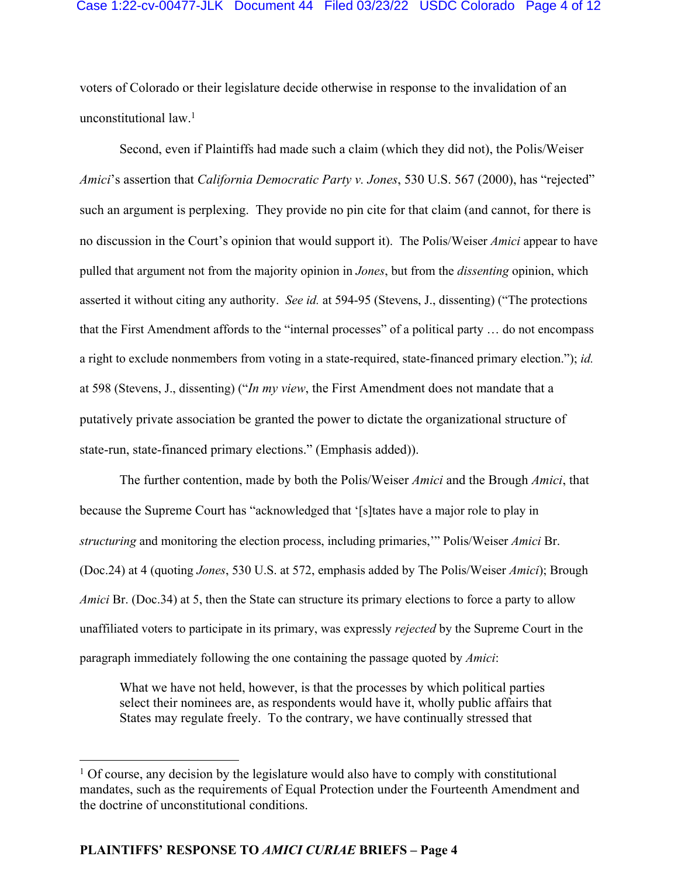#### Case 1:22-cv-00477-JLK Document 44 Filed 03/23/22 USDC Colorado Page 4 of 12

voters of Colorado or their legislature decide otherwise in response to the invalidation of an unconstitutional law.<sup>1</sup>

Second, even if Plaintiffs had made such a claim (which they did not), the Polis/Weiser *Amici*'s assertion that *California Democratic Party v. Jones*, 530 U.S. 567 (2000), has "rejected" such an argument is perplexing. They provide no pin cite for that claim (and cannot, for there is no discussion in the Court's opinion that would support it). The Polis/Weiser *Amici* appear to have pulled that argument not from the majority opinion in *Jones*, but from the *dissenting* opinion, which asserted it without citing any authority. *See id.* at 594-95 (Stevens, J., dissenting) ("The protections that the First Amendment affords to the "internal processes" of a political party … do not encompass a right to exclude nonmembers from voting in a state-required, state-financed primary election."); *id.*  at 598 (Stevens, J., dissenting) ("*In my view*, the First Amendment does not mandate that a putatively private association be granted the power to dictate the organizational structure of state-run, state-financed primary elections." (Emphasis added)).

The further contention, made by both the Polis/Weiser *Amici* and the Brough *Amici*, that because the Supreme Court has "acknowledged that '[s]tates have a major role to play in *structuring* and monitoring the election process, including primaries,'" Polis/Weiser *Amici* Br. (Doc.24) at 4 (quoting *Jones*, 530 U.S. at 572, emphasis added by The Polis/Weiser *Amici*); Brough *Amici* Br. (Doc.34) at 5, then the State can structure its primary elections to force a party to allow unaffiliated voters to participate in its primary, was expressly *rejected* by the Supreme Court in the paragraph immediately following the one containing the passage quoted by *Amici*:

What we have not held, however, is that the processes by which political parties select their nominees are, as respondents would have it, wholly public affairs that States may regulate freely. To the contrary, we have continually stressed that

 $1$  Of course, any decision by the legislature would also have to comply with constitutional mandates, such as the requirements of Equal Protection under the Fourteenth Amendment and the doctrine of unconstitutional conditions.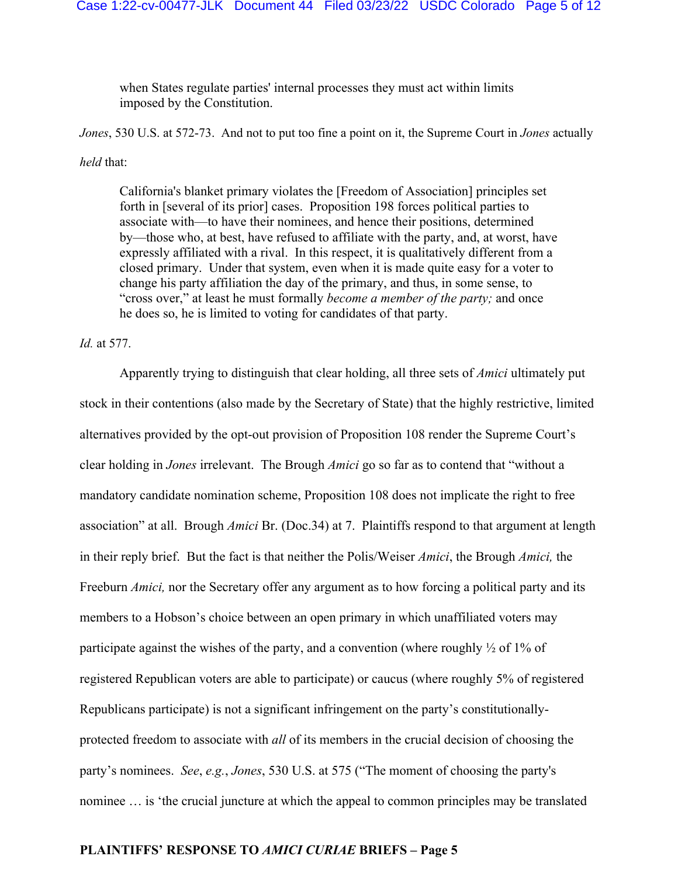when States regulate parties' internal processes they must act within limits imposed by the Constitution.

*Jones*, 530 U.S. at 572-73. And not to put too fine a point on it, the Supreme Court in *Jones* actually *held* that:

California's blanket primary violates the [Freedom of Association] principles set forth in [several of its prior] cases. Proposition 198 forces political parties to associate with—to have their nominees, and hence their positions, determined by—those who, at best, have refused to affiliate with the party, and, at worst, have expressly affiliated with a rival. In this respect, it is qualitatively different from a closed primary. Under that system, even when it is made quite easy for a voter to change his party affiliation the day of the primary, and thus, in some sense, to "cross over," at least he must formally *become a member of the party;* and once he does so, he is limited to voting for candidates of that party.

*Id.* at 577.

Apparently trying to distinguish that clear holding, all three sets of *Amici* ultimately put stock in their contentions (also made by the Secretary of State) that the highly restrictive, limited alternatives provided by the opt-out provision of Proposition 108 render the Supreme Court's clear holding in *Jones* irrelevant. The Brough *Amici* go so far as to contend that "without a mandatory candidate nomination scheme, Proposition 108 does not implicate the right to free association" at all. Brough *Amici* Br. (Doc.34) at 7. Plaintiffs respond to that argument at length in their reply brief. But the fact is that neither the Polis/Weiser *Amici*, the Brough *Amici,* the Freeburn *Amici,* nor the Secretary offer any argument as to how forcing a political party and its members to a Hobson's choice between an open primary in which unaffiliated voters may participate against the wishes of the party, and a convention (where roughly  $\frac{1}{2}$  of 1% of registered Republican voters are able to participate) or caucus (where roughly 5% of registered Republicans participate) is not a significant infringement on the party's constitutionallyprotected freedom to associate with *all* of its members in the crucial decision of choosing the party's nominees. *See*, *e.g.*, *Jones*, 530 U.S. at 575 ("The moment of choosing the party's nominee … is 'the crucial juncture at which the appeal to common principles may be translated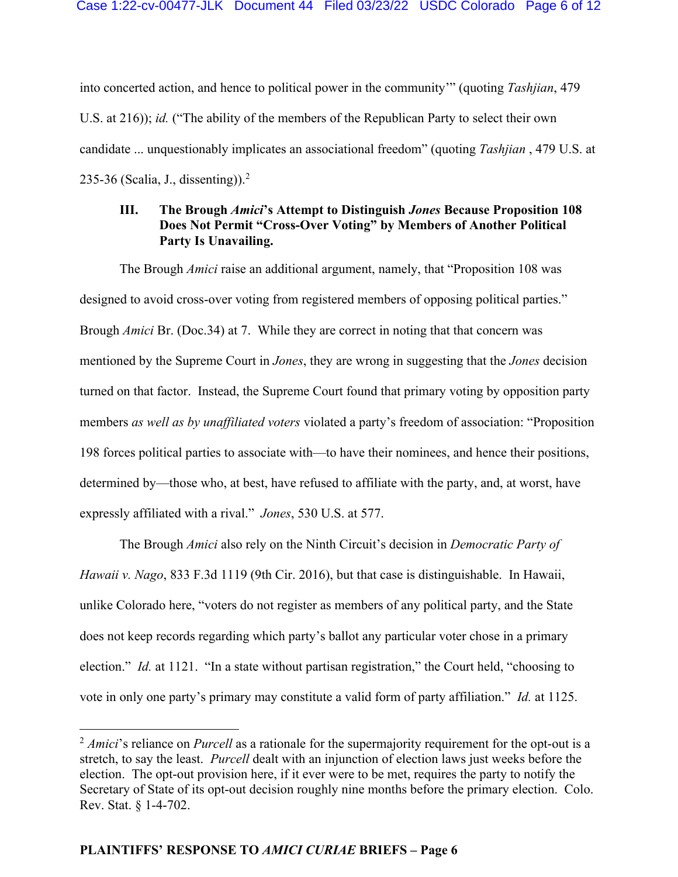into concerted action, and hence to political power in the community'" (quoting *Tashjian*, 479 U.S. at 216)); *id.* ("The ability of the members of the Republican Party to select their own candidate ... unquestionably implicates an associational freedom" (quoting *Tashjian* , 479 U.S. at 235-36 (Scalia, J., dissenting)). $2$ 

# **III. The Brough** *Amici***'s Attempt to Distinguish** *Jones* **Because Proposition 108 Does Not Permit "Cross-Over Voting" by Members of Another Political Party Is Unavailing.**

The Brough *Amici* raise an additional argument, namely, that "Proposition 108 was designed to avoid cross-over voting from registered members of opposing political parties." Brough *Amici* Br. (Doc.34) at 7. While they are correct in noting that that concern was mentioned by the Supreme Court in *Jones*, they are wrong in suggesting that the *Jones* decision turned on that factor. Instead, the Supreme Court found that primary voting by opposition party members *as well as by unaffiliated voters* violated a party's freedom of association: "Proposition 198 forces political parties to associate with—to have their nominees, and hence their positions, determined by—those who, at best, have refused to affiliate with the party, and, at worst, have expressly affiliated with a rival." *Jones*, 530 U.S. at 577.

The Brough *Amici* also rely on the Ninth Circuit's decision in *Democratic Party of Hawaii v. Nago*, 833 F.3d 1119 (9th Cir. 2016), but that case is distinguishable. In Hawaii, unlike Colorado here, "voters do not register as members of any political party, and the State does not keep records regarding which party's ballot any particular voter chose in a primary election." *Id.* at 1121. "In a state without partisan registration," the Court held, "choosing to vote in only one party's primary may constitute a valid form of party affiliation." *Id.* at 1125.

<sup>&</sup>lt;sup>2</sup> *Amici*'s reliance on *Purcell* as a rationale for the supermajority requirement for the opt-out is a stretch, to say the least. *Purcell* dealt with an injunction of election laws just weeks before the election. The opt-out provision here, if it ever were to be met, requires the party to notify the Secretary of State of its opt-out decision roughly nine months before the primary election. Colo. Rev. Stat. § 1-4-702.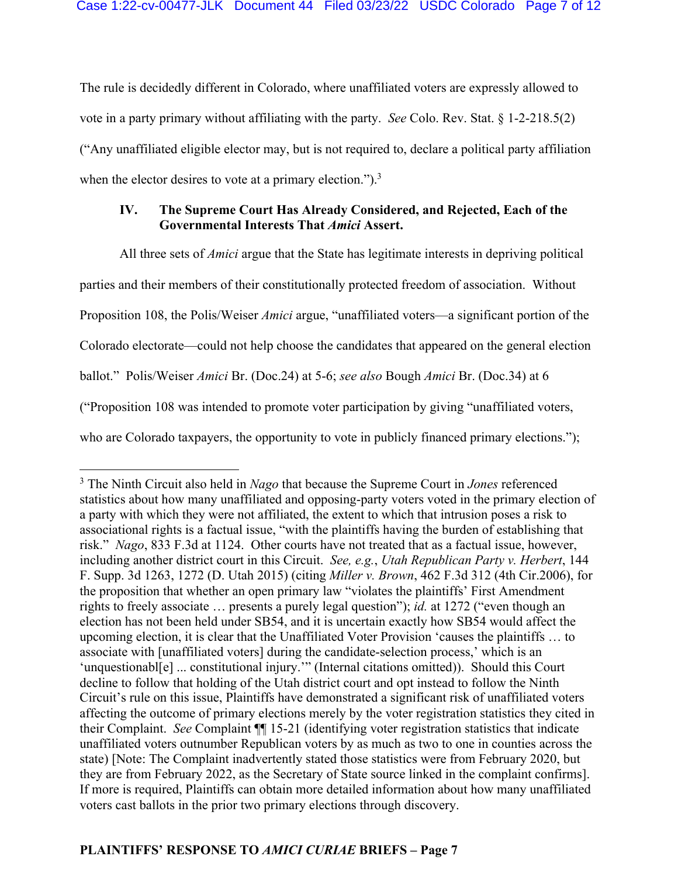The rule is decidedly different in Colorado, where unaffiliated voters are expressly allowed to vote in a party primary without affiliating with the party. *See* Colo. Rev. Stat. § 1-2-218.5(2) ("Any unaffiliated eligible elector may, but is not required to, declare a political party affiliation when the elector desires to vote at a primary election.").<sup>3</sup>

# **IV. The Supreme Court Has Already Considered, and Rejected, Each of the Governmental Interests That** *Amici* **Assert.**

All three sets of *Amici* argue that the State has legitimate interests in depriving political

parties and their members of their constitutionally protected freedom of association. Without

Proposition 108, the Polis/Weiser *Amici* argue, "unaffiliated voters—a significant portion of the

Colorado electorate—could not help choose the candidates that appeared on the general election

ballot." Polis/Weiser *Amici* Br. (Doc.24) at 5-6; *see also* Bough *Amici* Br. (Doc.34) at 6

("Proposition 108 was intended to promote voter participation by giving "unaffiliated voters,

who are Colorado taxpayers, the opportunity to vote in publicly financed primary elections.");

<sup>3</sup> The Ninth Circuit also held in *Nago* that because the Supreme Court in *Jones* referenced statistics about how many unaffiliated and opposing-party voters voted in the primary election of a party with which they were not affiliated, the extent to which that intrusion poses a risk to associational rights is a factual issue, "with the plaintiffs having the burden of establishing that risk." *Nago*, 833 F.3d at 1124. Other courts have not treated that as a factual issue, however, including another district court in this Circuit. *See, e.g.*, *Utah Republican Party v. Herbert*, 144 F. Supp. 3d 1263, 1272 (D. Utah 2015) (citing *Miller v. Brown*, 462 F.3d 312 (4th Cir.2006), for the proposition that whether an open primary law "violates the plaintiffs' First Amendment rights to freely associate … presents a purely legal question"); *id.* at 1272 ("even though an election has not been held under SB54, and it is uncertain exactly how SB54 would affect the upcoming election, it is clear that the Unaffiliated Voter Provision 'causes the plaintiffs … to associate with [unaffiliated voters] during the candidate-selection process,' which is an 'unquestionabl<sup>[e]</sup> ... constitutional injury.'" (Internal citations omitted)). Should this Court decline to follow that holding of the Utah district court and opt instead to follow the Ninth Circuit's rule on this issue, Plaintiffs have demonstrated a significant risk of unaffiliated voters affecting the outcome of primary elections merely by the voter registration statistics they cited in their Complaint. *See* Complaint ¶¶ 15-21 (identifying voter registration statistics that indicate unaffiliated voters outnumber Republican voters by as much as two to one in counties across the state) [Note: The Complaint inadvertently stated those statistics were from February 2020, but they are from February 2022, as the Secretary of State source linked in the complaint confirms]. If more is required, Plaintiffs can obtain more detailed information about how many unaffiliated voters cast ballots in the prior two primary elections through discovery.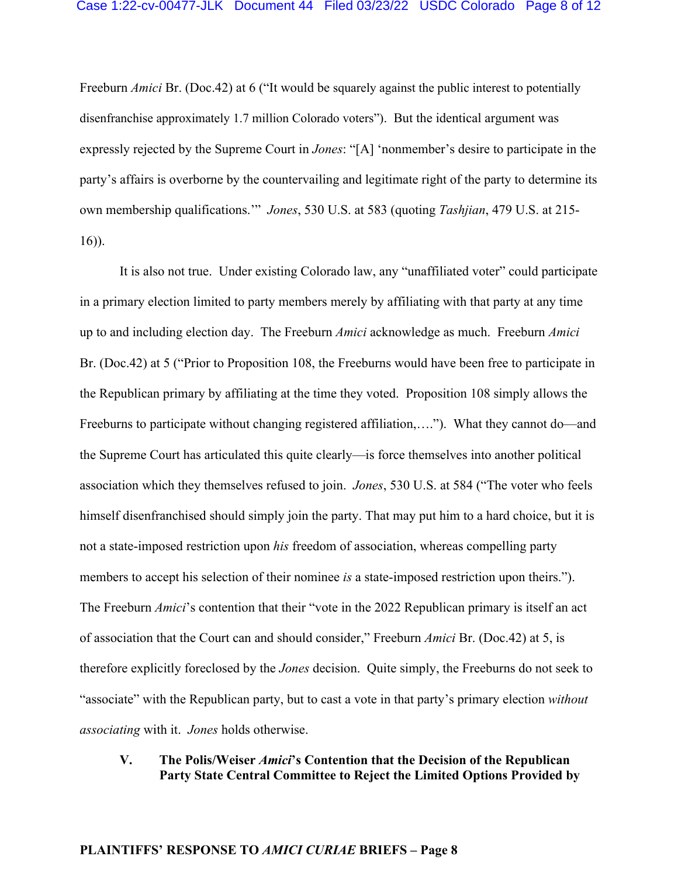Freeburn *Amici* Br. (Doc.42) at 6 ("It would be squarely against the public interest to potentially disenfranchise approximately 1.7 million Colorado voters"). But the identical argument was expressly rejected by the Supreme Court in *Jones*: "[A] 'nonmember's desire to participate in the party's affairs is overborne by the countervailing and legitimate right of the party to determine its own membership qualifications.'" *Jones*, 530 U.S. at 583 (quoting *Tashjian*, 479 U.S. at 215- 16)).

It is also not true. Under existing Colorado law, any "unaffiliated voter" could participate in a primary election limited to party members merely by affiliating with that party at any time up to and including election day. The Freeburn *Amici* acknowledge as much. Freeburn *Amici*  Br. (Doc.42) at 5 ("Prior to Proposition 108, the Freeburns would have been free to participate in the Republican primary by affiliating at the time they voted. Proposition 108 simply allows the Freeburns to participate without changing registered affiliation,…."). What they cannot do—and the Supreme Court has articulated this quite clearly—is force themselves into another political association which they themselves refused to join. *Jones*, 530 U.S. at 584 ("The voter who feels himself disenfranchised should simply join the party. That may put him to a hard choice, but it is not a state-imposed restriction upon *his* freedom of association, whereas compelling party members to accept his selection of their nominee *is* a state-imposed restriction upon theirs."). The Freeburn *Amici*'s contention that their "vote in the 2022 Republican primary is itself an act of association that the Court can and should consider," Freeburn *Amici* Br. (Doc.42) at 5, is therefore explicitly foreclosed by the *Jones* decision. Quite simply, the Freeburns do not seek to "associate" with the Republican party, but to cast a vote in that party's primary election *without associating* with it. *Jones* holds otherwise.

## **V. The Polis/Weiser** *Amici***'s Contention that the Decision of the Republican Party State Central Committee to Reject the Limited Options Provided by**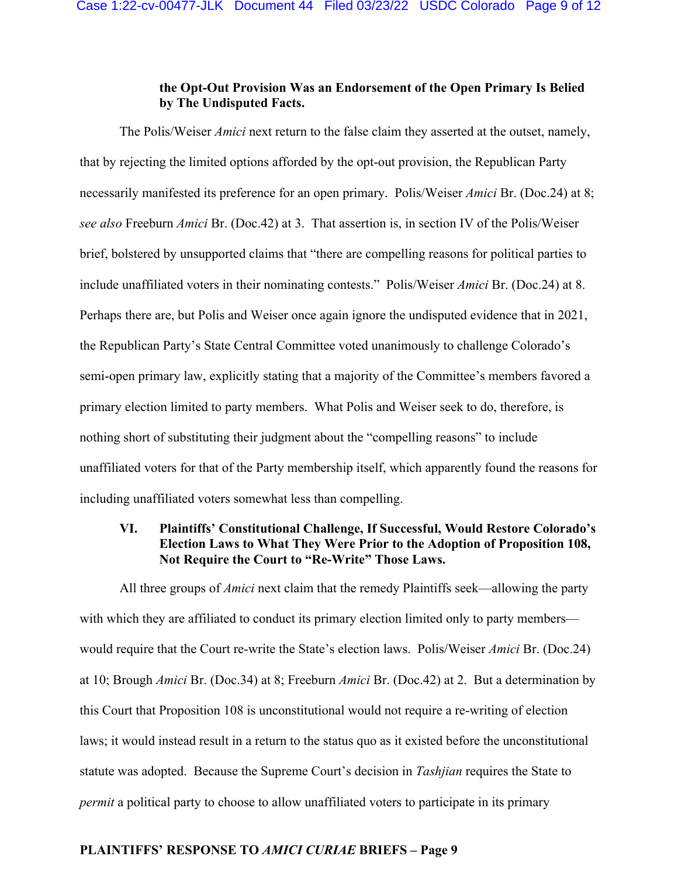## **the Opt-Out Provision Was an Endorsement of the Open Primary Is Belied by The Undisputed Facts.**

The Polis/Weiser *Amici* next return to the false claim they asserted at the outset, namely, that by rejecting the limited options afforded by the opt-out provision, the Republican Party necessarily manifested its preference for an open primary. Polis/Weiser *Amici* Br. (Doc.24) at 8; *see also* Freeburn *Amici* Br. (Doc.42) at 3. That assertion is, in section IV of the Polis/Weiser brief, bolstered by unsupported claims that "there are compelling reasons for political parties to include unaffiliated voters in their nominating contests." Polis/Weiser *Amici* Br. (Doc.24) at 8. Perhaps there are, but Polis and Weiser once again ignore the undisputed evidence that in 2021, the Republican Party's State Central Committee voted unanimously to challenge Colorado's semi-open primary law, explicitly stating that a majority of the Committee's members favored a primary election limited to party members. What Polis and Weiser seek to do, therefore, is nothing short of substituting their judgment about the "compelling reasons" to include unaffiliated voters for that of the Party membership itself, which apparently found the reasons for including unaffiliated voters somewhat less than compelling.

## **VI. Plaintiffs' Constitutional Challenge, If Successful, Would Restore Colorado's Election Laws to What They Were Prior to the Adoption of Proposition 108, Not Require the Court to "Re-Write" Those Laws.**

All three groups of *Amici* next claim that the remedy Plaintiffs seek—allowing the party with which they are affiliated to conduct its primary election limited only to party members would require that the Court re-write the State's election laws. Polis/Weiser *Amici* Br. (Doc.24) at 10; Brough *Amici* Br. (Doc.34) at 8; Freeburn *Amici* Br. (Doc.42) at 2. But a determination by this Court that Proposition 108 is unconstitutional would not require a re-writing of election laws; it would instead result in a return to the status quo as it existed before the unconstitutional statute was adopted. Because the Supreme Court's decision in *Tashjian* requires the State to *permit* a political party to choose to allow unaffiliated voters to participate in its primary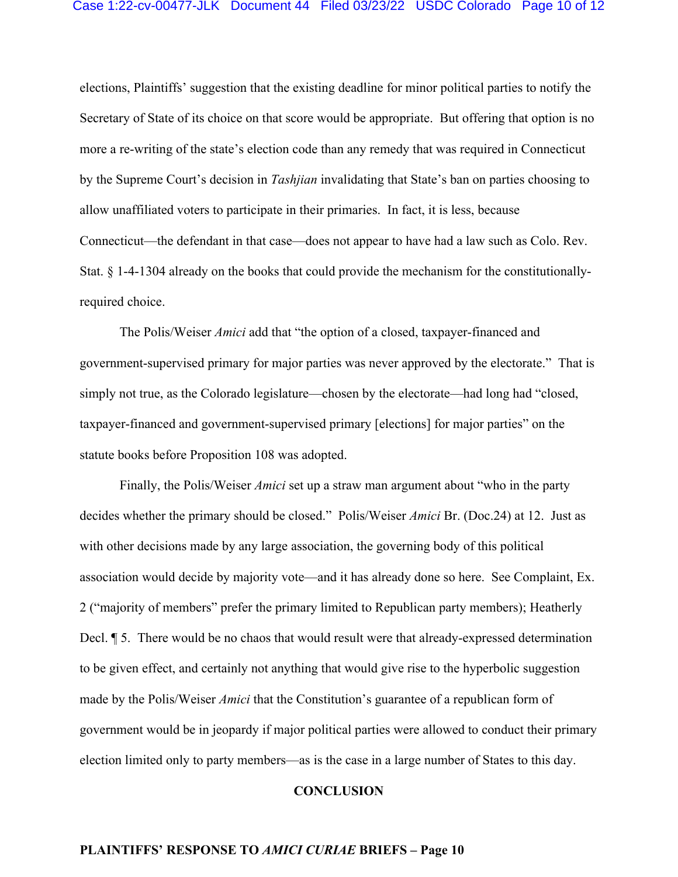#### Case 1:22-cv-00477-JLK Document 44 Filed 03/23/22 USDC Colorado Page 10 of 12

elections, Plaintiffs' suggestion that the existing deadline for minor political parties to notify the Secretary of State of its choice on that score would be appropriate. But offering that option is no more a re-writing of the state's election code than any remedy that was required in Connecticut by the Supreme Court's decision in *Tashjian* invalidating that State's ban on parties choosing to allow unaffiliated voters to participate in their primaries. In fact, it is less, because Connecticut—the defendant in that case—does not appear to have had a law such as Colo. Rev. Stat. § 1-4-1304 already on the books that could provide the mechanism for the constitutionallyrequired choice.

The Polis/Weiser *Amici* add that "the option of a closed, taxpayer-financed and government-supervised primary for major parties was never approved by the electorate." That is simply not true, as the Colorado legislature—chosen by the electorate—had long had "closed, taxpayer-financed and government-supervised primary [elections] for major parties" on the statute books before Proposition 108 was adopted.

Finally, the Polis/Weiser *Amici* set up a straw man argument about "who in the party decides whether the primary should be closed." Polis/Weiser *Amici* Br. (Doc.24) at 12. Just as with other decisions made by any large association, the governing body of this political association would decide by majority vote—and it has already done so here. See Complaint, Ex. 2 ("majority of members" prefer the primary limited to Republican party members); Heatherly Decl. ¶ 5. There would be no chaos that would result were that already-expressed determination to be given effect, and certainly not anything that would give rise to the hyperbolic suggestion made by the Polis/Weiser *Amici* that the Constitution's guarantee of a republican form of government would be in jeopardy if major political parties were allowed to conduct their primary election limited only to party members—as is the case in a large number of States to this day.

#### **CONCLUSION**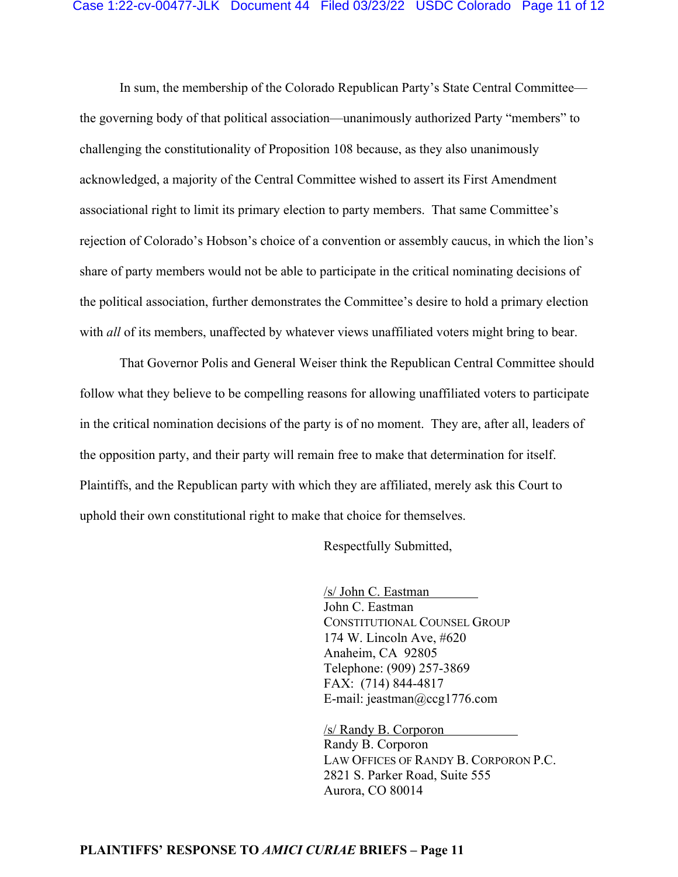In sum, the membership of the Colorado Republican Party's State Central Committee the governing body of that political association—unanimously authorized Party "members" to challenging the constitutionality of Proposition 108 because, as they also unanimously acknowledged, a majority of the Central Committee wished to assert its First Amendment associational right to limit its primary election to party members. That same Committee's rejection of Colorado's Hobson's choice of a convention or assembly caucus, in which the lion's share of party members would not be able to participate in the critical nominating decisions of the political association, further demonstrates the Committee's desire to hold a primary election with *all* of its members, unaffected by whatever views unaffiliated voters might bring to bear.

That Governor Polis and General Weiser think the Republican Central Committee should follow what they believe to be compelling reasons for allowing unaffiliated voters to participate in the critical nomination decisions of the party is of no moment. They are, after all, leaders of the opposition party, and their party will remain free to make that determination for itself. Plaintiffs, and the Republican party with which they are affiliated, merely ask this Court to uphold their own constitutional right to make that choice for themselves.

Respectfully Submitted,

/s/ John C. Eastman John C. Eastman CONSTITUTIONAL COUNSEL GROUP 174 W. Lincoln Ave, #620 Anaheim, CA 92805 Telephone: (909) 257-3869 FAX: (714) 844-4817 E-mail: jeastman@ccg1776.com

/s/ Randy B. Corporon Randy B. Corporon LAW OFFICES OF RANDY B. CORPORON P.C. 2821 S. Parker Road, Suite 555 Aurora, CO 80014